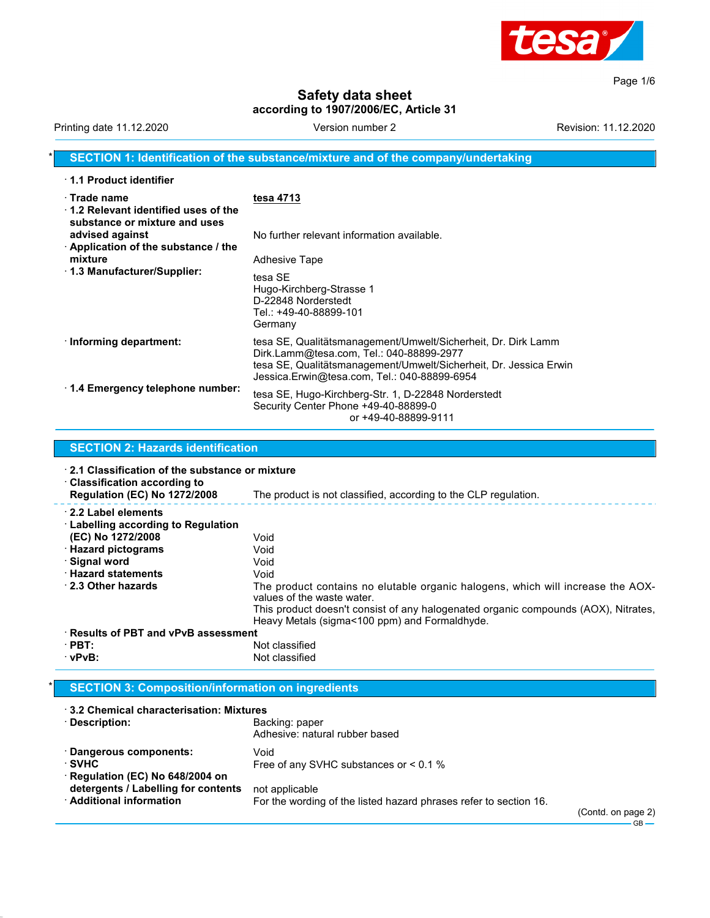

Page 1/6

# **Safety data sheet according to 1907/2006/EC, Article 31**

Printing date 11.12.2020 **Version number 2** Version 2 Revision: 11.12.2020

### **SECTION 1: Identification of the substance/mixture and of the company/undertaking**

| 1.1 Product identifier                                                                             |                                                                                                                                                                                                                                |
|----------------------------------------------------------------------------------------------------|--------------------------------------------------------------------------------------------------------------------------------------------------------------------------------------------------------------------------------|
| $\cdot$ Trade name<br>$\cdot$ 1.2 Relevant identified uses of the<br>substance or mixture and uses | tesa 4713                                                                                                                                                                                                                      |
| advised against<br>$\cdot$ Application of the substance / the                                      | No further relevant information available.                                                                                                                                                                                     |
| mixture                                                                                            | <b>Adhesive Tape</b>                                                                                                                                                                                                           |
| $\cdot$ 1.3 Manufacturer/Supplier:                                                                 | tesa SF<br>Hugo-Kirchberg-Strasse 1<br>D-22848 Norderstedt<br>Tel.: +49-40-88899-101<br>Germany                                                                                                                                |
| $\cdot$ Informing department:                                                                      | tesa SE, Qualitätsmanagement/Umwelt/Sicherheit, Dr. Dirk Lamm<br>Dirk.Lamm@tesa.com, Tel.: 040-88899-2977<br>tesa SE, Qualitätsmanagement/Umwelt/Sicherheit, Dr. Jessica Erwin<br>Jessica.Erwin@tesa.com, Tel.: 040-88899-6954 |
| $\cdot$ 1.4 Emergency telephone number:                                                            | tesa SE, Hugo-Kirchberg-Str. 1, D-22848 Norderstedt<br>Security Center Phone +49-40-88899-0<br>or +49-40-88899-9111                                                                                                            |

| $\cdot$ 2.1 Classification of the substance or mixture<br>$\cdot$ Classification according to<br><b>Regulation (EC) No 1272/2008</b> | The product is not classified, according to the CLP regulation.                                                                     |  |
|--------------------------------------------------------------------------------------------------------------------------------------|-------------------------------------------------------------------------------------------------------------------------------------|--|
| 2.2 Label elements<br>$\cdot$ Labelling according to Regulation                                                                      |                                                                                                                                     |  |
| (EC) No 1272/2008<br>$\cdot$ Hazard pictograms                                                                                       | Void<br>Void                                                                                                                        |  |
| · Signal word                                                                                                                        | Void                                                                                                                                |  |
| <b>Hazard statements</b>                                                                                                             | Void                                                                                                                                |  |
| 2.3 Other hazards                                                                                                                    | The product contains no elutable organic halogens, which will increase the AOX-<br>values of the waste water.                       |  |
|                                                                                                                                      | This product doesn't consist of any halogenated organic compounds (AOX), Nitrates,<br>Heavy Metals (sigma<100 ppm) and Formaldhyde. |  |
| $\cdot$ Results of PBT and vPvB assessment                                                                                           |                                                                                                                                     |  |
| $\cdot$ PBT:                                                                                                                         | Not classified                                                                                                                      |  |
| $\cdot$ vPvB:                                                                                                                        | Not classified                                                                                                                      |  |

### \* **SECTION 3: Composition/information on ingredients**

**SECTION 2: Hazards identification**

| $\cdot$ 3.2 Chemical characterisation: Mixtures                                   |                                                                                     |           |
|-----------------------------------------------------------------------------------|-------------------------------------------------------------------------------------|-----------|
| · Description:                                                                    | Backing: paper<br>Adhesive: natural rubber based                                    |           |
| · Dangerous components:<br>$\cdot$ SVHC<br>$\cdot$ Regulation (EC) No 648/2004 on | Void<br>Free of any SVHC substances or $< 0.1$ %                                    |           |
| detergents / Labelling for contents<br>· Additional information                   | not applicable<br>For the wording of the listed hazard phrases refer to section 16. | $(C$ ontd |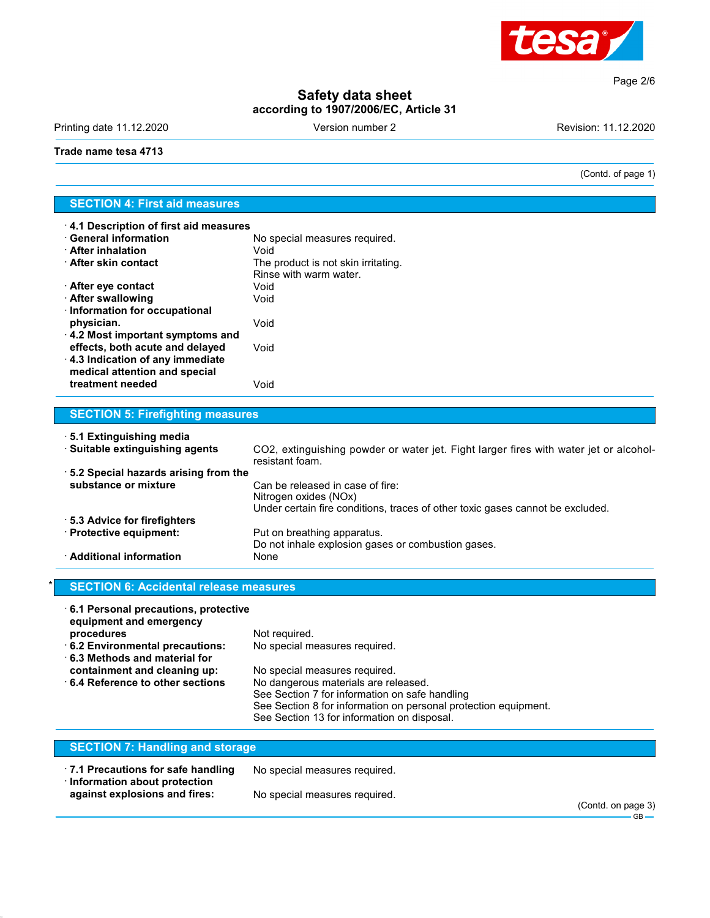

**Safety data sheet according to 1907/2006/EC, Article 31**

Printing date 11.12.2020 **Version number 2** Version 2

(Contd. of page 1)

Page 2/6

#### **Trade name tesa 4713**

## **SECTION 4: First aid measures**

| 4.1 Description of first aid measures   |                                     |  |  |
|-----------------------------------------|-------------------------------------|--|--|
| $\cdot$ General information             | No special measures required.       |  |  |
| <b>∴After inhalation</b>                | Void                                |  |  |
| $\cdot$ After skin contact              | The product is not skin irritating. |  |  |
|                                         | Rinse with warm water.              |  |  |
| $\cdot$ After eye contact               | Void                                |  |  |
| <b>After swallowing</b>                 | Void                                |  |  |
| $\cdot$ Information for occupational    |                                     |  |  |
| physician.                              | Void                                |  |  |
| $\cdot$ 4.2 Most important symptoms and |                                     |  |  |
| effects, both acute and delayed         | Void                                |  |  |
| $\cdot$ 4.3 Indication of any immediate |                                     |  |  |
| medical attention and special           |                                     |  |  |
| treatment needed                        | Void                                |  |  |

## **SECTION 5: Firefighting measures**

| ⋅5.1 Extinguishing media              |                                                                                                                                             |
|---------------------------------------|---------------------------------------------------------------------------------------------------------------------------------------------|
| · Suitable extinguishing agents       | CO2, extinguishing powder or water jet. Fight larger fires with water jet or alcohol-<br>resistant foam.                                    |
| .5.2 Special hazards arising from the |                                                                                                                                             |
| substance or mixture                  | Can be released in case of fire:<br>Nitrogen oxides (NOx)<br>Under certain fire conditions, traces of other toxic gases cannot be excluded. |
| ⋅ 5.3 Advice for firefighters         |                                                                                                                                             |
| · Protective equipment:               | Put on breathing apparatus.<br>Do not inhale explosion gases or combustion gases.                                                           |
| · Additional information              | None                                                                                                                                        |

## **SECTION 6: Accidental release measures**

| 6.1 Personal precautions, protective<br>equipment and emergency |                                                                 |
|-----------------------------------------------------------------|-----------------------------------------------------------------|
| procedures                                                      | Not required.                                                   |
| 6.2 Environmental precautions:                                  | No special measures required.                                   |
| $\cdot$ 6.3 Methods and material for                            |                                                                 |
| containment and cleaning up:                                    | No special measures required.                                   |
| $\cdot$ 6.4 Reference to other sections                         | No dangerous materials are released.                            |
|                                                                 | See Section 7 for information on safe handling                  |
|                                                                 | See Section 8 for information on personal protection equipment. |
|                                                                 | See Section 13 for information on disposal.                     |
|                                                                 |                                                                 |

| <b>SECTION 7: Handling and storage</b>                                    |                               |  |
|---------------------------------------------------------------------------|-------------------------------|--|
| 7.1 Precautions for safe handling<br>$\cdot$ Information about protection | No special measures required. |  |
| against explosions and fires:                                             | No special measures required. |  |

(Contd. on page 3)  $-$ GB $-$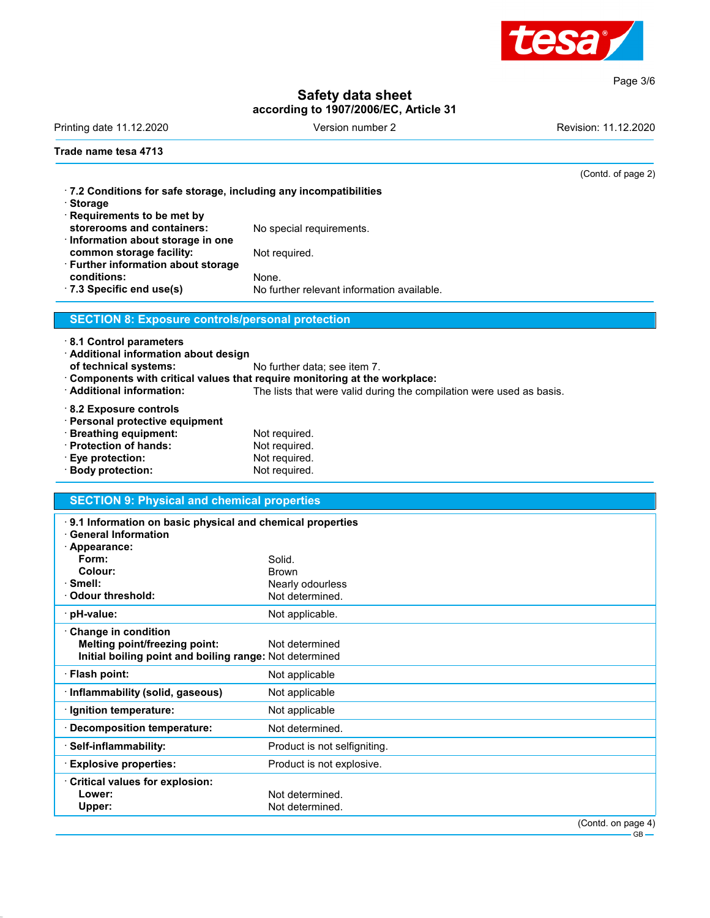

Page 3/6

## **Safety data sheet according to 1907/2006/EC, Article 31**

Printing date 11.12.2020 **Printing date 11.12.2020** Version number 2 Revision: 11.12.2020

(Contd. of page 2)

#### **Trade name tesa 4713**

| $\cdot$ 7.2 Conditions for safe storage, including any incompatibilities<br>· Storage |                                            |
|---------------------------------------------------------------------------------------|--------------------------------------------|
| · Requirements to be met by                                                           |                                            |
| storerooms and containers:                                                            | No special requirements.                   |
| $\cdot$ Information about storage in one                                              |                                            |
| common storage facility:                                                              | Not required.                              |
| · Further information about storage                                                   |                                            |
| conditions:                                                                           | None.                                      |
| $\cdot$ 7.3 Specific end use(s)                                                       | No further relevant information available. |
|                                                                                       |                                            |

## **SECTION 8: Exposure controls/personal protection**

· **8.1 Control parameters**

· **Additional information about design**

**of technical systems:** No further data; see item 7.

· **Components with critical values that require monitoring at the workplace:**

The lists that were valid during the compilation were used as basis.

- · **8.2 Exposure controls**
- · **Personal protective equipment** · **Breathing equipment:** Not required. **Protection of hands:** Not required.<br> **Eye protection:** Not required.
- **Eye protection:** Not required.<br> **Body protection:** Not required.
- · Body protection:

### **SECTION 9: Physical and chemical properties**

| $\cdot$ 9.1 Information on basic physical and chemical properties<br><b>General Information</b> |                              |
|-------------------------------------------------------------------------------------------------|------------------------------|
| · Appearance:                                                                                   |                              |
| Form:                                                                                           | Solid.                       |
| Colour:                                                                                         | <b>Brown</b>                 |
| $\cdot$ Smell:                                                                                  | Nearly odourless             |
| $\cdot$ Odour threshold:                                                                        | Not determined.              |
| · pH-value:                                                                                     | Not applicable.              |
| $\cdot$ Change in condition                                                                     |                              |
| Melting point/freezing point:                                                                   | Not determined               |
| Initial boiling point and boiling range: Not determined                                         |                              |
| · Flash point:                                                                                  | Not applicable               |
| · Inflammability (solid, gaseous)                                                               | Not applicable               |
| · Ignition temperature:                                                                         | Not applicable               |
| Decomposition temperature:                                                                      | Not determined.              |
| · Self-inflammability:                                                                          | Product is not selfigniting. |
| <b>Explosive properties:</b>                                                                    | Product is not explosive.    |
| Critical values for explosion:                                                                  |                              |
| Lower:                                                                                          | Not determined.              |
| Upper:                                                                                          | Not determined.              |
|                                                                                                 | (Contd. on page 4)           |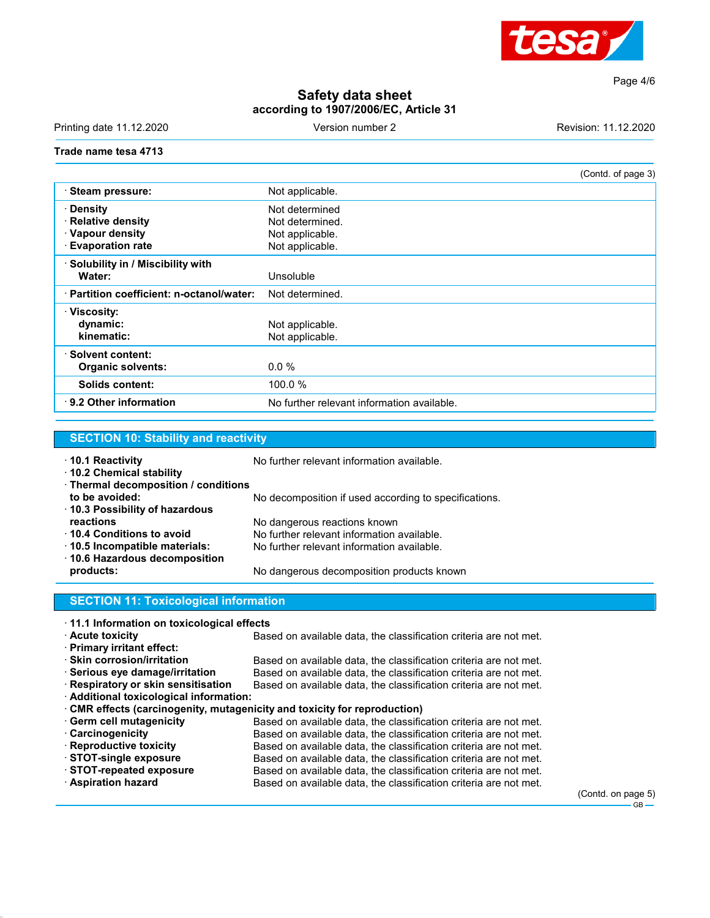

Page 4/6

# **Safety data sheet according to 1907/2006/EC, Article 31**

Printing date 11.12.2020 **Version number 2** Version 2

#### **Trade name tesa 4713**

|                                                                                       | (Contd. of page 3)                                                      |
|---------------------------------------------------------------------------------------|-------------------------------------------------------------------------|
| Steam pressure:                                                                       | Not applicable.                                                         |
| · Density<br><b>Relative density</b> .<br>· Vapour density<br><b>Evaporation rate</b> | Not determined<br>Not determined.<br>Not applicable.<br>Not applicable. |
| · Solubility in / Miscibility with<br>Water:                                          | Unsoluble                                                               |
| · Partition coefficient: n-octanol/water:                                             | Not determined.                                                         |
| $\cdot$ Viscosity:<br>dynamic:<br>kinematic:                                          | Not applicable.<br>Not applicable.                                      |
| · Solvent content:<br><b>Organic solvents:</b>                                        | $0.0\%$                                                                 |
| <b>Solids content:</b>                                                                | 100.0 %                                                                 |
| $\cdot$ 9.2 Other information                                                         | No further relevant information available.                              |

# **SECTION 10: Stability and reactivity**

| ⋅ 10.1 Reactivity<br>10.2 Chemical stability                         | No further relevant information available.            |  |
|----------------------------------------------------------------------|-------------------------------------------------------|--|
| · Thermal decomposition / conditions<br>to be avoided:               |                                                       |  |
| 10.3 Possibility of hazardous                                        | No decomposition if used according to specifications. |  |
| reactions                                                            | No dangerous reactions known                          |  |
| ⋅ 10.4 Conditions to avoid                                           | No further relevant information available.            |  |
| 10.5 Incompatible materials:<br>$\cdot$ 10.6 Hazardous decomposition | No further relevant information available.            |  |
| products:                                                            | No dangerous decomposition products known             |  |
| <b>SECTION 11: Toxicological information</b>                         |                                                       |  |

| 11.1 Information on toxicological effects |  |  |  |  |
|-------------------------------------------|--|--|--|--|
|-------------------------------------------|--|--|--|--|

| 11.1 Information on toxicological effects                               |                                                                   |
|-------------------------------------------------------------------------|-------------------------------------------------------------------|
| <b>Acute toxicity</b>                                                   | Based on available data, the classification criteria are not met. |
| · Primary irritant effect:                                              |                                                                   |
| $\cdot$ Skin corrosion/irritation                                       | Based on available data, the classification criteria are not met. |
| $\cdot$ Serious eye damage/irritation                                   | Based on available data, the classification criteria are not met. |
| · Respiratory or skin sensitisation                                     | Based on available data, the classification criteria are not met. |
| · Additional toxicological information:                                 |                                                                   |
| CMR effects (carcinogenity, mutagenicity and toxicity for reproduction) |                                                                   |
| · Germ cell mutagenicity                                                | Based on available data, the classification criteria are not met. |
| · Carcinogenicity                                                       | Based on available data, the classification criteria are not met. |
| $\cdot$ Reproductive toxicity                                           | Based on available data, the classification criteria are not met. |
| STOT-single exposure                                                    | Based on available data, the classification criteria are not met. |
| $\cdot$ STOT-repeated exposure                                          | Based on available data, the classification criteria are not met. |
| · Aspiration hazard                                                     | Based on available data, the classification criteria are not met. |
|                                                                         |                                                                   |
|                                                                         |                                                                   |

(Contd. on page 5)  $-$  GB $-$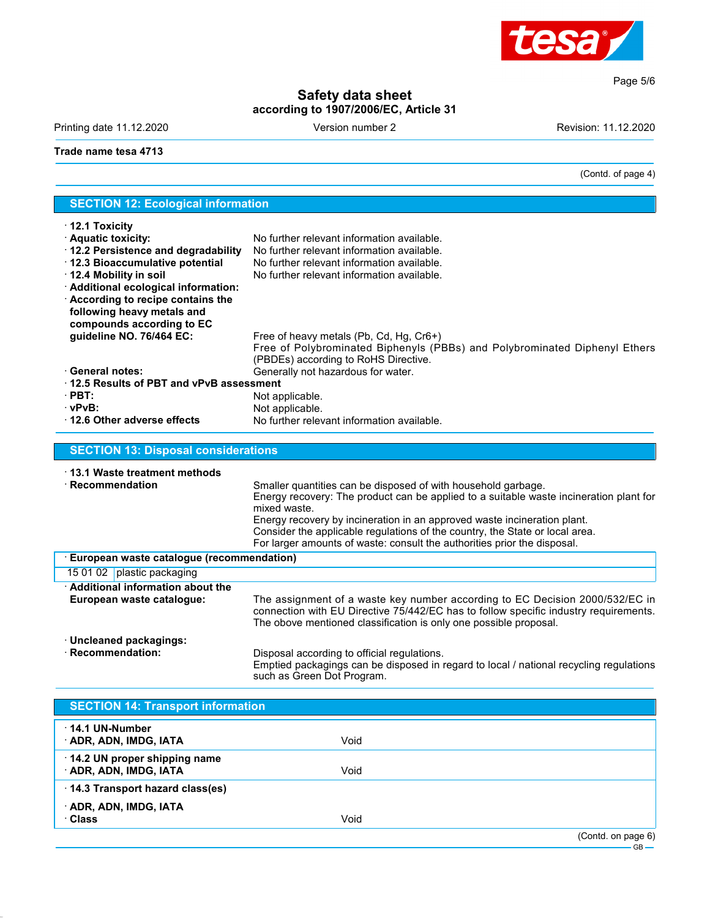

Page 5/6

## **Safety data sheet according to 1907/2006/EC, Article 31**

Printing date 11.12.2020 **Version number 2** Version 2

(Contd. of page 4)

#### **Trade name tesa 4713**

| <b>SECTION 12: Ecological information</b>  |                                                                                        |  |  |
|--------------------------------------------|----------------------------------------------------------------------------------------|--|--|
| $\cdot$ 12.1 Toxicity                      |                                                                                        |  |  |
| · Aquatic toxicity:                        | No further relevant information available.                                             |  |  |
| · 12.2 Persistence and degradability       | No further relevant information available.                                             |  |  |
| · 12.3 Bioaccumulative potential           | No further relevant information available.                                             |  |  |
| 12.4 Mobility in soil                      | No further relevant information available.                                             |  |  |
| · Additional ecological information:       |                                                                                        |  |  |
| According to recipe contains the           |                                                                                        |  |  |
| following heavy metals and                 |                                                                                        |  |  |
| compounds according to EC                  |                                                                                        |  |  |
| guideline NO. 76/464 EC:                   | Free of heavy metals (Pb, Cd, Hg, Cr6+)                                                |  |  |
|                                            | Free of Polybrominated Biphenyls (PBBs) and Polybrominated Diphenyl Ethers             |  |  |
| · General notes:                           | (PBDEs) according to RoHS Directive.                                                   |  |  |
| 12.5 Results of PBT and vPvB assessment    | Generally not hazardous for water.                                                     |  |  |
| $\cdot$ PBT:                               |                                                                                        |  |  |
| · vPvB:                                    | Not applicable.<br>Not applicable.                                                     |  |  |
| 12.6 Other adverse effects                 | No further relevant information available.                                             |  |  |
|                                            |                                                                                        |  |  |
| <b>SECTION 13: Disposal considerations</b> |                                                                                        |  |  |
|                                            |                                                                                        |  |  |
| 13.1 Waste treatment methods               |                                                                                        |  |  |
| $\cdot$ Recommendation                     | Smaller quantities can be disposed of with household garbage.                          |  |  |
|                                            | Energy recovery: The product can be applied to a suitable waste incineration plant for |  |  |
|                                            | mixed waste.                                                                           |  |  |
|                                            | Energy recovery by incineration in an approved waste incineration plant.               |  |  |
|                                            | Consider the applicable regulations of the country, the State or local area.           |  |  |
|                                            | For larger amounts of waste: consult the authorities prior the disposal.               |  |  |
| European waste catalogue (recommendation)  |                                                                                        |  |  |
| 15 01 02 plastic packaging                 |                                                                                        |  |  |
| · Additional information about the         |                                                                                        |  |  |
| European waste catalogue:                  | The assignment of a waste key number according to EC Decision 2000/532/EC in           |  |  |
|                                            | connection with EU Directive 75/442/EC has to follow specific industry requirements.   |  |  |
|                                            | The obove mentioned classification is only one possible proposal.                      |  |  |
| · Uncleaned packagings:                    |                                                                                        |  |  |
| · Recommendation:                          | Disposal according to official regulations.                                            |  |  |
|                                            | Emptied packagings can be disposed in regard to local / national recycling regulations |  |  |
|                                            | such as Green Dot Program.                                                             |  |  |

| <b>SECTION 14: Transport information</b>               |      |                    |
|--------------------------------------------------------|------|--------------------|
| $\cdot$ 14.1 UN-Number<br>$\cdot$ ADR, ADN, IMDG, IATA | Void |                    |
| 14.2 UN proper shipping name<br>· ADR, ADN, IMDG, IATA | Void |                    |
| 14.3 Transport hazard class(es)                        |      |                    |
| · ADR, ADN, IMDG, IATA<br>· Class                      | Void |                    |
|                                                        |      | (Contd. on page 6) |

GB